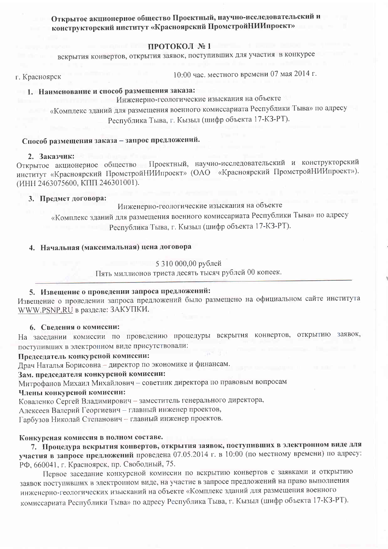# Открытое акционерное общество Проектный, научно-исследовательский и конструкторский институт «Красноярский ПромстройНИИпроект»

### ПРОТОКОЛ №1

вскрытия конвертов, открытия заявок, поступивших для участия в конкурсе

г. Красноярск

10:00 час. местного времени 07 мая 2014 г.

# 1. Наименование и способ размещения заказа:

Инженерно-геологические изыскания на объекте

«Комплекс зданий для размещения военного комиссариата Республики Тыва» по адресу Республика Тыва, г. Кызыл (шифр объекта 17-КЗ-РТ).

Способ размещения заказа - запрос предложений.

#### 2. Заказчик:

Открытое акционерное общество Проектный, научно-исследовательский и конструкторский институт «Красноярский ПромстройНИИпроект» (ОАО «Красноярский ПромстройНИИпроект»). (ИНН 2463075600, КПП 246301001).

### 3. Предмет договора:

Инженерно-геологические изыскания на объекте

«Комплекс зданий для размещения военного комиссариата Республики Тыва» по адресу Республика Тыва, г. Кызыл (шифр объекта 17-КЗ-РТ).

# 4. Начальная (максимальная) цена договора

### 5 310 000,00 рублей

Пять миллионов триста десять тысяч рублей 00 копеек.

# 5. Извещение о проведении запроса предложений:

Извещение о проведении запроса предложений было размещено на официальном сайте института WWW.PSNP.RU в разделе: ЗАКУПКИ.

#### 6. Сведения о комиссии:

На заседании комиссии по проведению процедуры вскрытия конвертов, открытию заявок, поступивших в электронном виде присутствовали:

#### Председатель конкурсной комиссии:

Драч Наталья Борисовна - директор по экономике и финансам.

Зам. председателя конкурсной комиссии:

Митрофанов Михаил Михайлович - советник директора по правовым вопросам

#### Члены конкурсной комиссии:

Коваленко Сергей Владимирович - заместитель генерального директора,

Алексеев Валерий Георгиевич - главный инженер проектов,

Гарбузов Николай Степанович - главный инженер проектов.

# Конкурсная комиссия в полном составе.

7. Процедура вскрытия конвертов, открытия заявок, поступивших в электронном виде для участия в запросе предложений проведена 07.05.2014 г. в 10:00 (по местному времени) по адресу: РФ, 660041, г. Красноярск, пр. Свободный, 75.

Первое заседание конкурсной комиссии по вскрытию конвертов с заявками и открытию заявок поступивших в электронном виде, на участие в запросе предложений на право выполнения инженерно-геологических изысканий на объекте «Комплекс зданий для размещения военного комиссариата Республики Тыва» по адресу Республика Тыва, г. Кызыл (шифр объекта 17-КЗ-РТ).